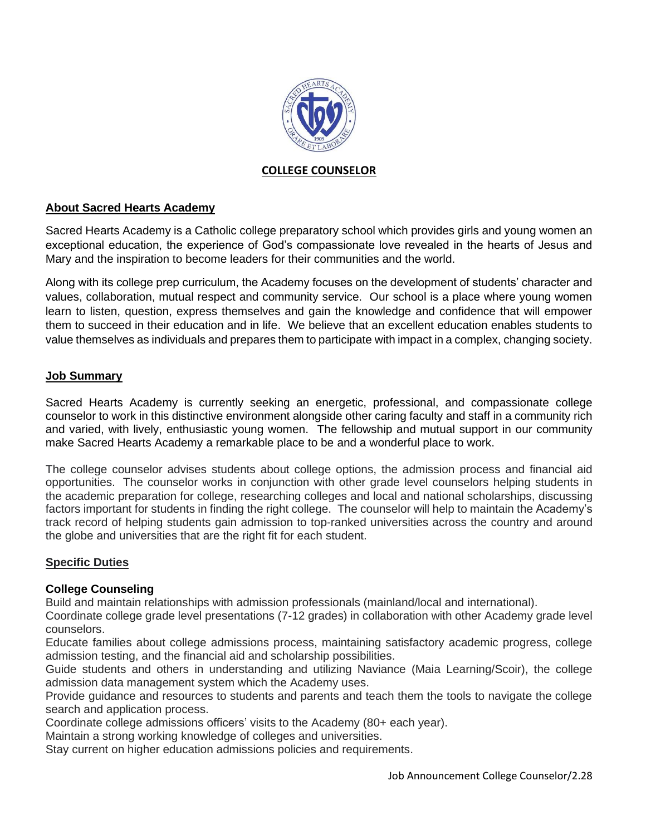

## **COLLEGE COUNSELOR**

### **About Sacred Hearts Academy**

Sacred Hearts Academy is a Catholic college preparatory school which provides girls and young women an exceptional education, the experience of God's compassionate love revealed in the hearts of Jesus and Mary and the inspiration to become leaders for their communities and the world.

Along with its college prep curriculum, the Academy focuses on the development of students' character and values, collaboration, mutual respect and community service. Our school is a place where young women learn to listen, question, express themselves and gain the knowledge and confidence that will empower them to succeed in their education and in life. We believe that an excellent education enables students to value themselves as individuals and prepares them to participate with impact in a complex, changing society.

#### **Job Summary**

Sacred Hearts Academy is currently seeking an energetic, professional, and compassionate college counselor to work in this distinctive environment alongside other caring faculty and staff in a community rich and varied, with lively, enthusiastic young women. The fellowship and mutual support in our community make Sacred Hearts Academy a remarkable place to be and a wonderful place to work.

The college counselor advises students about college options, the admission process and financial aid opportunities. The counselor works in conjunction with other grade level counselors helping students in the academic preparation for college, researching colleges and local and national scholarships, discussing factors important for students in finding the right college. The counselor will help to maintain the Academy's track record of helping students gain admission to top-ranked universities across the country and around the globe and universities that are the right fit for each student.

#### **Specific Duties**

#### **College Counseling**

Build and maintain relationships with admission professionals (mainland/local and international).

Coordinate college grade level presentations (7-12 grades) in collaboration with other Academy grade level counselors.

Educate families about college admissions process, maintaining satisfactory academic progress, college admission testing, and the financial aid and scholarship possibilities.

Guide students and others in understanding and utilizing Naviance (Maia Learning/Scoir), the college admission data management system which the Academy uses.

Provide guidance and resources to students and parents and teach them the tools to navigate the college search and application process.

Coordinate college admissions officers' visits to the Academy (80+ each year).

Maintain a strong working knowledge of colleges and universities.

Stay current on higher education admissions policies and requirements.